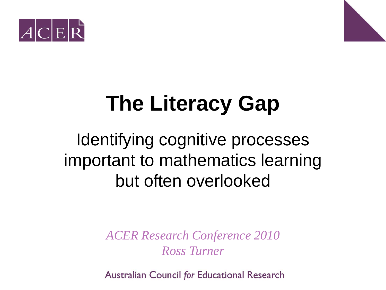



### **The Literacy Gap**

#### Identifying cognitive processes important to mathematics learning but often overlooked

*ACER Research Conference 2010 Ross Turner* 

**Australian Council for Educational Research**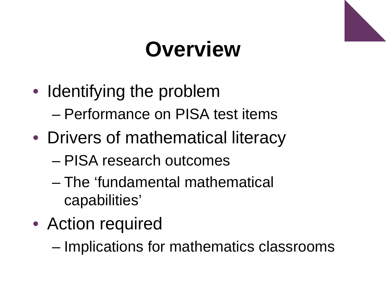### **Overview**

- Identifying the problem – Performance on PISA test items
- Drivers of mathematical literacy
	- PISA research outcomes
	- The 'fundamental mathematical capabilities'
- Action required
	- Implications for mathematics classrooms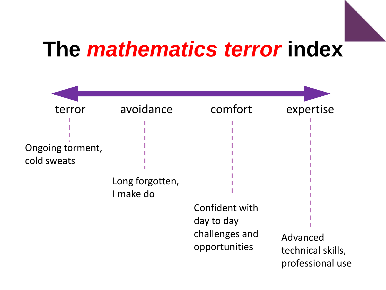#### **The** *mathematics terror* **index**

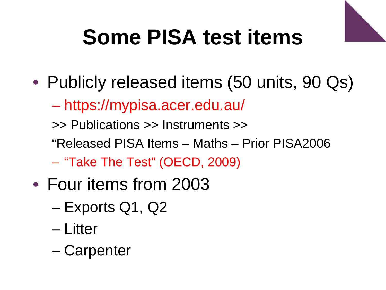# **Some PISA test items**

- Publicly released items (50 units, 90 Qs)
	- https://mypisa.acer.edu.au/

>> Publications >> Instruments >>

- "Released PISA Items Maths Prior PISA2006
- "Take The Test" (OECD, 2009)
- Four items from 2003
	- Exports Q1, Q2
	- Litter
	- Carpenter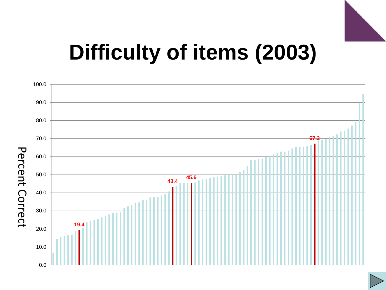

#### **Difficulty of items (2003)**



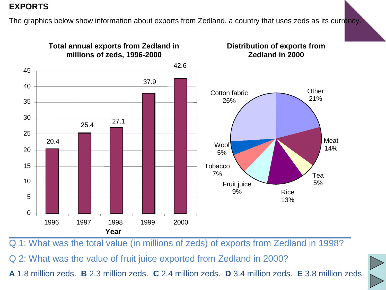#### **EXPORTS**

The graphics below show information about exports from Zedland, a country that uses zeds as its currency.



Q 1: What was the total value (in millions of zeds) of exports from Zedland in 1998?

Q 2: What was the value of fruit juice exported from Zedland in 2000?

**A** 1.8 million zeds. **B** 2.3 million zeds. **C** 2.4 million zeds. **D** 3.4 million zeds. **E** 3.8 million zeds.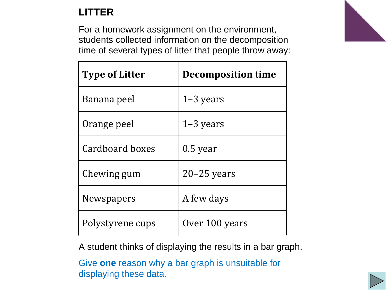#### **LITTER**

For a homework assignment on the environment, students collected information on the decomposition time of several types of litter that people throw away:

| <b>Type of Litter</b> | <b>Decomposition time</b> |
|-----------------------|---------------------------|
| Banana peel           | $1-3$ years               |
| Orange peel           | $1-3$ years               |
| Cardboard boxes       | $0.5$ year                |
| Chewing gum           | $20 - 25$ years           |
| <b>Newspapers</b>     | A few days                |
| Polystyrene cups      | Over 100 years            |

A student thinks of displaying the results in a bar graph.

Give **one** reason why a bar graph is unsuitable for displaying these data.



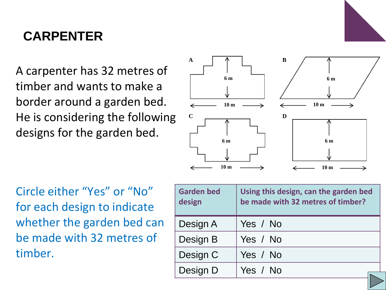

#### **CARPENTER**

A carpenter has 32 metres of timber and wants to make a border around a garden bed. He is considering the following designs for the garden bed.



Circle either "Yes" or "No" for each design to indicate whether the garden bed can be made with 32 metres of timber.

| <b>Garden bed</b><br>design | Using this design, can the garden bed<br>be made with 32 metres of timber? |
|-----------------------------|----------------------------------------------------------------------------|
| Design A                    | Yes / No                                                                   |
| Design B                    | Yes / No                                                                   |
| Design C                    | Yes / No                                                                   |
| Design D                    | Yes / No                                                                   |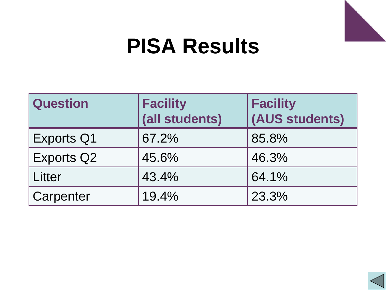

#### **PISA Results**

| <b>Question</b>   | <b>Facility</b><br>(all students) | <b>Facility</b><br>(AUS students) |
|-------------------|-----------------------------------|-----------------------------------|
| <b>Exports Q1</b> | 67.2%                             | 85.8%                             |
| <b>Exports Q2</b> | 45.6%                             | 46.3%                             |
| Litter            | 43.4%                             | 64.1%                             |
| Carpenter         | 19.4%                             | 23.3%                             |

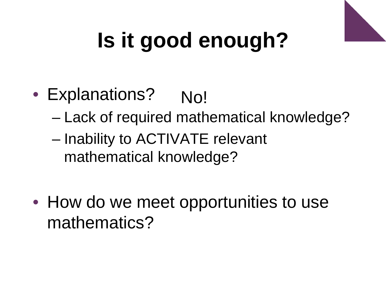

# **Is it good enough?**

- Explanations? No!
	- Lack of required mathematical knowledge?
	- Inability to ACTIVATE relevant mathematical knowledge?
- How do we meet opportunities to use mathematics?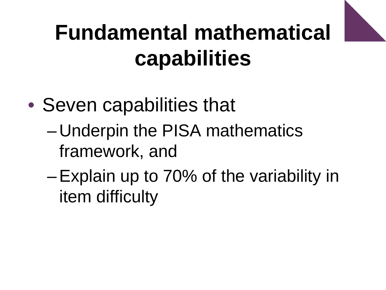

## **Fundamental mathematical capabilities**

- Seven capabilities that
	- Underpin the PISA mathematics framework, and
	- –Explain up to 70% of the variability in item difficulty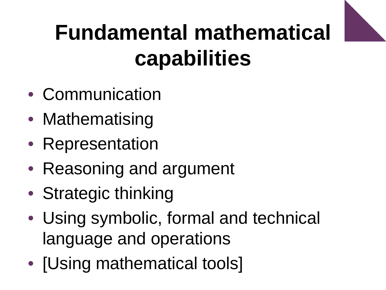

## **Fundamental mathematical capabilities**

- Communication
- Mathematising
- Representation
- Reasoning and argument
- Strategic thinking
- Using symbolic, formal and technical language and operations
- [Using mathematical tools]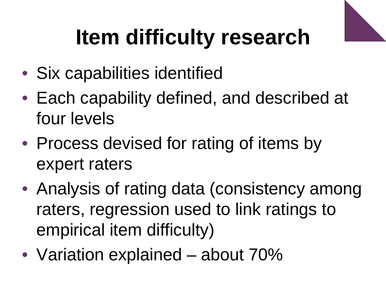# **Item difficulty research**

- Six capabilities identified
- Each capability defined, and described at four levels
- Process devised for rating of items by expert raters
- Analysis of rating data (consistency among raters, regression used to link ratings to empirical item difficulty)
- Variation explained about 70%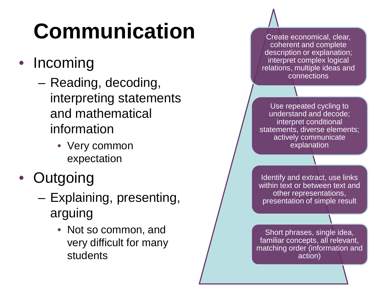# **Communication**

- Incoming
	- Reading, decoding, interpreting statements and mathematical information
		- Very common expectation
- Outgoing
	- Explaining, presenting, arguing
		- Not so common, and very difficult for many students

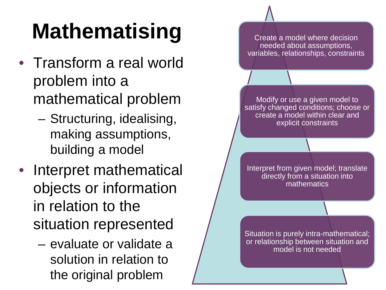# **Mathematising**

- Transform a real world problem into a mathematical problem
	- Structuring, idealising, making assumptions, building a model
- Interpret mathematical objects or information in relation to the situation represented
	- evaluate or validate a solution in relation to the original problem

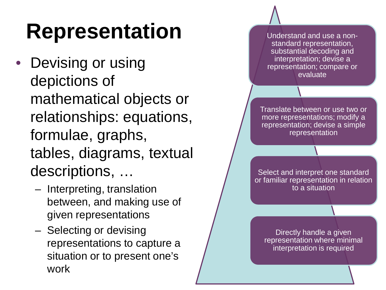### **Representation**

- Devising or using depictions of mathematical objects or relationships: equations, formulae, graphs, tables, diagrams, textual descriptions, …
	- Interpreting, translation between, and making use of given representations
	- Selecting or devising representations to capture a situation or to present one's work

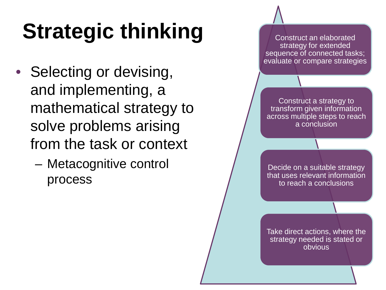# **Strategic thinking**

- Selecting or devising, and implementing, a mathematical strategy to solve problems arising from the task or context
	- Metacognitive control process

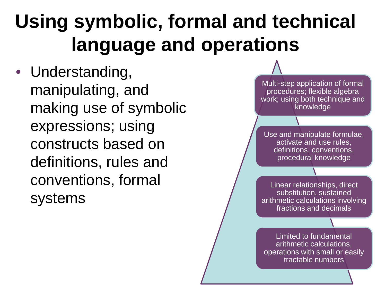#### **Using symbolic, formal and technical language and operations**

• Understanding, manipulating, and making use of symbolic expressions; using constructs based on definitions, rules and conventions, formal systems

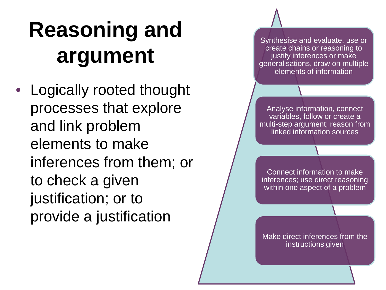## **Reasoning and argument**

• Logically rooted thought processes that explore and link problem elements to make inferences from them; or to check a given justification; or to provide a justification

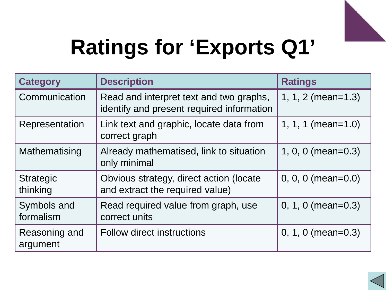

# **Ratings for 'Exports Q1'**

| <b>Category</b>              | <b>Description</b>                                                                   | <b>Ratings</b>           |
|------------------------------|--------------------------------------------------------------------------------------|--------------------------|
| Communication                | Read and interpret text and two graphs,<br>identify and present required information | 1, 1, 2 (mean= $1.3$ )   |
| Representation               | Link text and graphic, locate data from<br>correct graph                             | 1, 1, 1 (mean= $1.0$ )   |
| Mathematising                | Already mathematised, link to situation<br>only minimal                              | 1, 0, 0 (mean= $0.3$ )   |
| <b>Strategic</b><br>thinking | Obvious strategy, direct action (locate<br>and extract the required value)           | $0, 0, 0$ (mean= $0.0$ ) |
| Symbols and<br>formalism     | Read required value from graph, use<br>correct units                                 | $0, 1, 0$ (mean= $0.3$ ) |
| Reasoning and<br>argument    | <b>Follow direct instructions</b>                                                    | $0, 1, 0$ (mean= $0.3$ ) |

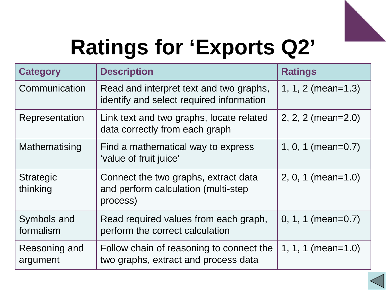

# **Ratings for 'Exports Q2'**

| <b>Category</b>              | <b>Description</b>                                                                      | <b>Ratings</b>           |
|------------------------------|-----------------------------------------------------------------------------------------|--------------------------|
| Communication                | Read and interpret text and two graphs,<br>identify and select required information     | 1, 1, 2 (mean= $1.3$ )   |
| Representation               | Link text and two graphs, locate related<br>data correctly from each graph              | $2, 2, 2$ (mean= $2.0$ ) |
| Mathematising                | Find a mathematical way to express<br>'value of fruit juice'                            | 1, 0, 1 (mean= $0.7$ )   |
| <b>Strategic</b><br>thinking | Connect the two graphs, extract data<br>and perform calculation (multi-step<br>process) | $2, 0, 1$ (mean=1.0)     |
| Symbols and<br>formalism     | Read required values from each graph,<br>perform the correct calculation                | $0, 1, 1$ (mean= $0.7$ ) |
| Reasoning and<br>argument    | Follow chain of reasoning to connect the<br>two graphs, extract and process data        | 1, 1, 1 (mean=1.0)       |

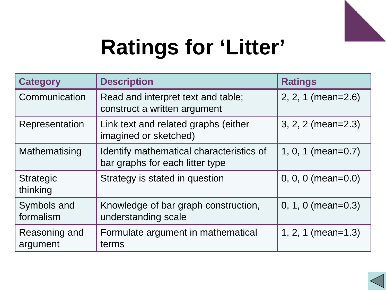

# **Ratings for 'Litter'**

| <b>Category</b>              | <b>Description</b>                                                          | <b>Ratings</b>           |
|------------------------------|-----------------------------------------------------------------------------|--------------------------|
| Communication                | Read and interpret text and table;<br>construct a written argument          | 2, 2, 1 (mean=2.6)       |
| Representation               | Link text and related graphs (either<br>imagined or sketched)               | 3, 2, 2 (mean=2.3)       |
| Mathematising                | Identify mathematical characteristics of<br>bar graphs for each litter type | $1, 0, 1$ (mean=0.7)     |
| <b>Strategic</b><br>thinking | Strategy is stated in question                                              | $0, 0, 0$ (mean= $0.0$ ) |
| Symbols and<br>formalism     | Knowledge of bar graph construction,<br>understanding scale                 | $0, 1, 0$ (mean= $0.3$ ) |
| Reasoning and<br>argument    | Formulate argument in mathematical<br>terms                                 | $1, 2, 1 (mean=1.3)$     |

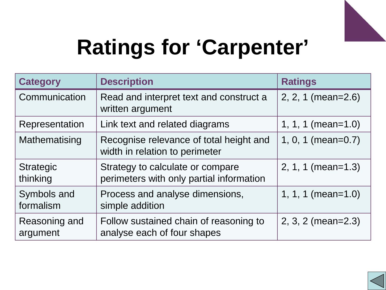

# **Ratings for 'Carpenter'**

| <b>Category</b>              | <b>Description</b>                                                           | <b>Ratings</b>         |
|------------------------------|------------------------------------------------------------------------------|------------------------|
| Communication                | Read and interpret text and construct a<br>written argument                  | $2, 2, 1 (mean=2.6)$   |
| Representation               | Link text and related diagrams                                               | 1, 1, 1 (mean=1.0)     |
| Mathematising                | Recognise relevance of total height and<br>width in relation to perimeter    | 1, 0, 1 (mean=0.7)     |
| <b>Strategic</b><br>thinking | Strategy to calculate or compare<br>perimeters with only partial information | $2, 1, 1$ (mean=1.3)   |
| Symbols and<br>formalism     | Process and analyse dimensions,<br>simple addition                           | 1, 1, 1 (mean= $1.0$ ) |
| Reasoning and<br>argument    | Follow sustained chain of reasoning to<br>analyse each of four shapes        | $2, 3, 2 (mean=2.3)$   |

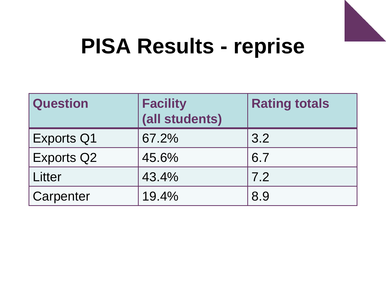

#### **PISA Results - reprise**

| <b>Question</b>   | <b>Facility</b><br>(all students) | <b>Rating totals</b> |
|-------------------|-----------------------------------|----------------------|
| <b>Exports Q1</b> | 67.2%                             | 3.2                  |
| <b>Exports Q2</b> | 45.6%                             | 6.7                  |
| Litter            | 43.4%                             | 7.2                  |
| Carpenter         | 19.4%                             | 8.9                  |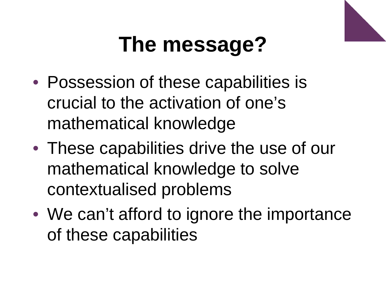

# **The message?**

- Possession of these capabilities is crucial to the activation of one's mathematical knowledge
- These capabilities drive the use of our mathematical knowledge to solve contextualised problems
- We can't afford to ignore the importance of these capabilities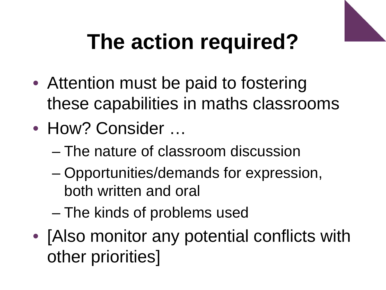

# **The action required?**

- Attention must be paid to fostering these capabilities in maths classrooms
- How? Consider ...
	- The nature of classroom discussion
	- Opportunities/demands for expression, both written and oral
	- The kinds of problems used
- [Also monitor any potential conflicts with other priorities]